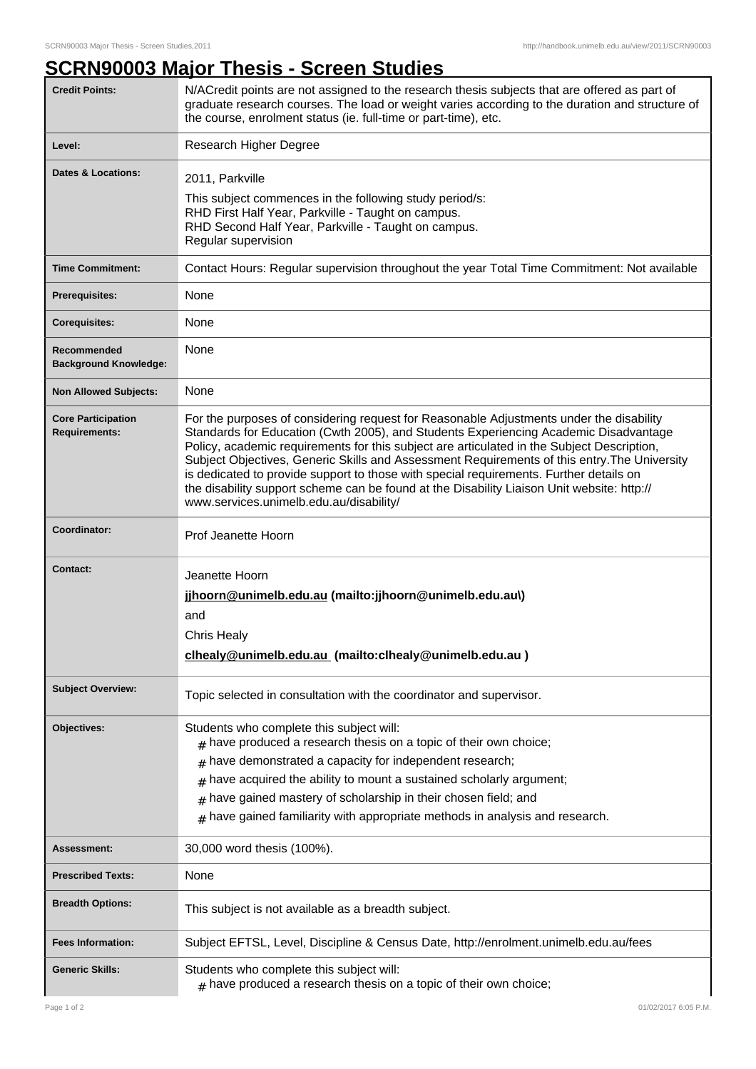## **SCRN90003 Major Thesis - Screen Studies**

| <b>Credit Points:</b>                             | N/ACredit points are not assigned to the research thesis subjects that are offered as part of<br>graduate research courses. The load or weight varies according to the duration and structure of<br>the course, enrolment status (ie. full-time or part-time), etc.                                                                                                                                                                                                                                                                                                                                              |
|---------------------------------------------------|------------------------------------------------------------------------------------------------------------------------------------------------------------------------------------------------------------------------------------------------------------------------------------------------------------------------------------------------------------------------------------------------------------------------------------------------------------------------------------------------------------------------------------------------------------------------------------------------------------------|
| Level:                                            | Research Higher Degree                                                                                                                                                                                                                                                                                                                                                                                                                                                                                                                                                                                           |
| Dates & Locations:                                | 2011, Parkville<br>This subject commences in the following study period/s:<br>RHD First Half Year, Parkville - Taught on campus.<br>RHD Second Half Year, Parkville - Taught on campus.<br>Regular supervision                                                                                                                                                                                                                                                                                                                                                                                                   |
| <b>Time Commitment:</b>                           | Contact Hours: Regular supervision throughout the year Total Time Commitment: Not available                                                                                                                                                                                                                                                                                                                                                                                                                                                                                                                      |
| <b>Prerequisites:</b>                             | None                                                                                                                                                                                                                                                                                                                                                                                                                                                                                                                                                                                                             |
| <b>Corequisites:</b>                              | None                                                                                                                                                                                                                                                                                                                                                                                                                                                                                                                                                                                                             |
| Recommended<br><b>Background Knowledge:</b>       | None                                                                                                                                                                                                                                                                                                                                                                                                                                                                                                                                                                                                             |
| <b>Non Allowed Subjects:</b>                      | None                                                                                                                                                                                                                                                                                                                                                                                                                                                                                                                                                                                                             |
| <b>Core Participation</b><br><b>Requirements:</b> | For the purposes of considering request for Reasonable Adjustments under the disability<br>Standards for Education (Cwth 2005), and Students Experiencing Academic Disadvantage<br>Policy, academic requirements for this subject are articulated in the Subject Description,<br>Subject Objectives, Generic Skills and Assessment Requirements of this entry. The University<br>is dedicated to provide support to those with special requirements. Further details on<br>the disability support scheme can be found at the Disability Liaison Unit website: http://<br>www.services.unimelb.edu.au/disability/ |
| Coordinator:                                      | Prof Jeanette Hoorn                                                                                                                                                                                                                                                                                                                                                                                                                                                                                                                                                                                              |
| <b>Contact:</b>                                   | Jeanette Hoorn<br>jjhoorn@unimelb.edu.au (mailto: jjhoorn@unimelb.edu.au\)<br>and<br><b>Chris Healy</b><br>clhealy@unimelb.edu.au (mailto:clhealy@unimelb.edu.au)                                                                                                                                                                                                                                                                                                                                                                                                                                                |
| <b>Subject Overview:</b>                          | Topic selected in consultation with the coordinator and supervisor.                                                                                                                                                                                                                                                                                                                                                                                                                                                                                                                                              |
| Objectives:                                       | Students who complete this subject will:<br>$#$ have produced a research thesis on a topic of their own choice;<br>have demonstrated a capacity for independent research;<br>#<br>have acquired the ability to mount a sustained scholarly argument;<br>#<br>have gained mastery of scholarship in their chosen field; and<br>#<br>have gained familiarity with appropriate methods in analysis and research.<br>#                                                                                                                                                                                               |
| <b>Assessment:</b>                                | 30,000 word thesis (100%).                                                                                                                                                                                                                                                                                                                                                                                                                                                                                                                                                                                       |
| <b>Prescribed Texts:</b>                          | None                                                                                                                                                                                                                                                                                                                                                                                                                                                                                                                                                                                                             |
| <b>Breadth Options:</b>                           | This subject is not available as a breadth subject.                                                                                                                                                                                                                                                                                                                                                                                                                                                                                                                                                              |
| <b>Fees Information:</b>                          | Subject EFTSL, Level, Discipline & Census Date, http://enrolment.unimelb.edu.au/fees                                                                                                                                                                                                                                                                                                                                                                                                                                                                                                                             |
| <b>Generic Skills:</b>                            | Students who complete this subject will:<br>$#$ have produced a research thesis on a topic of their own choice;                                                                                                                                                                                                                                                                                                                                                                                                                                                                                                  |